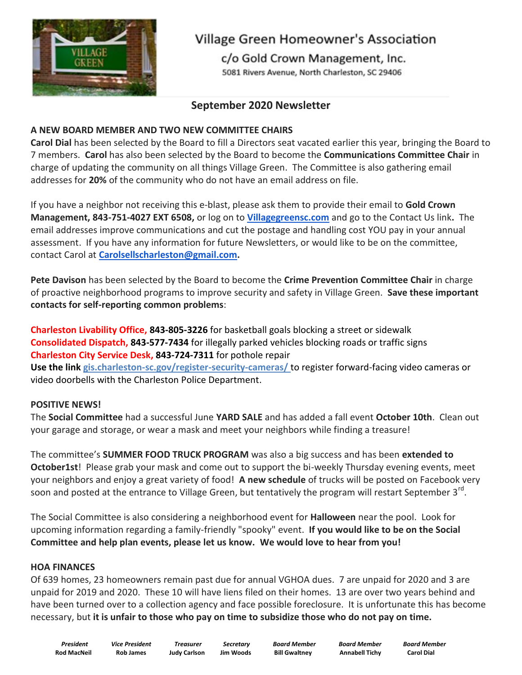

# **Village Green Homeowner's Association**

c/o Gold Crown Management, Inc. 5081 Rivers Avenue, North Charleston, SC 29406

# **September 2020 Newsletter**

# **A NEW BOARD MEMBER AND TWO NEW COMMITTEE CHAIRS**

**Carol Dial** has been selected by the Board to fill a Directors seat vacated earlier this year, bringing the Board to 7 members. **Carol** has also been selected by the Board to become the **Communications Committee Chair** in charge of updating the community on all things Village Green. The Committee is also gathering email addresses for **20%** of the community who do not have an email address on file.

If you have a neighbor not receiving this e-blast, please ask them to provide their email to **Gold Crown Management, 843-751-4027 EXT 6508,** or log on to **[Villagegreensc.com](http://villagegreensc.com/)** and go to the Contact Us link**.** The email addresses improve communications and cut the postage and handling cost YOU pay in your annual assessment. If you have any information for future Newsletters, or would like to be on the committee, contact Carol at **[Carolsellscharleston@gmail.com.](mailto:Carolsellscharleston@gmail.com)**

**Pete Davison** has been selected by the Board to become the **Crime Prevention Committee Chair** in charge of proactive neighborhood programs to improve security and safety in Village Green. **Save these important contacts for self-reporting common problems**:

**Charleston Livability Office, 843-805-3226** for basketball goals blocking a street or sidewalk **Consolidated Dispatch, 843-577-7434** for illegally parked vehicles blocking roads or traffic signs **Charleston City Service Desk, 843-724-7311** for pothole repair **Use the link [gis.charleston-sc.gov/register-security-cameras/](http://gis.charleston-sc.gov/register-security-cameras/)** to register forward-facing video cameras or video doorbells with the Charleston Police Department.

# **POSITIVE NEWS!**

The **Social Committee** had a successful June **YARD SALE** and has added a fall event **October 10th**. Clean out your garage and storage, or wear a mask and meet your neighbors while finding a treasure!

The committee's **SUMMER FOOD TRUCK PROGRAM** was also a big success and has been **extended to October1st**! Please grab your mask and come out to support the bi-weekly Thursday evening events, meet your neighbors and enjoy a great variety of food! **A new schedule** of trucks will be posted on Facebook very soon and posted at the entrance to Village Green, but tentatively the program will restart September 3<sup>rd</sup>.

The Social Committee is also considering a neighborhood event for **Halloween** near the pool. Look for upcoming information regarding a family-friendly "spooky" event. **If you would like to be on the Social Committee and help plan events, please let us know. We would love to hear from you!**

# **HOA FINANCES**

Of 639 homes, 23 homeowners remain past due for annual VGHOA dues. 7 are unpaid for 2020 and 3 are unpaid for 2019 and 2020. These 10 will have liens filed on their homes. 13 are over two years behind and have been turned over to a collection agency and face possible foreclosure. It is unfortunate this has become necessary, but **it is unfair to those who pay on time to subsidize those who do not pay on time.**